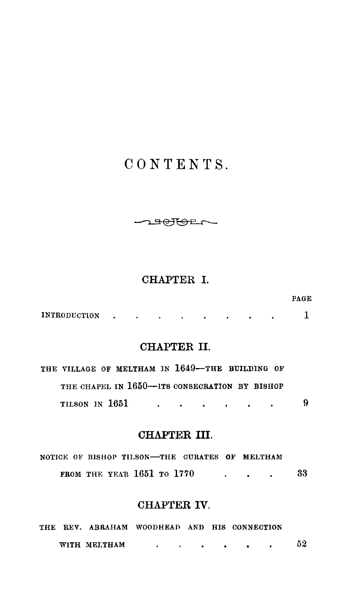# CONTENTS.

 $\rightarrow$   $\rightarrow$   $\rightarrow$   $\rightarrow$ 

### CHAPTER I.

| <b>INTRODUCTION</b> |  |  |  |  |  |
|---------------------|--|--|--|--|--|
|                     |  |  |  |  |  |

PAGE

# CHAPTER II.

|                | THE VILLAGE OF MELTHAM IN 1649-THE BUILDING OF |  |                                                                                                                 |  |   |
|----------------|------------------------------------------------|--|-----------------------------------------------------------------------------------------------------------------|--|---|
|                | THE CHAPEL IN 1650-BITS CONSECRATION BY BISHOP |  |                                                                                                                 |  |   |
| TILSON IN 1651 |                                                |  | the contract of the contract of the contract of the contract of the contract of the contract of the contract of |  | 9 |

# CHAPTER III.

|  |  |                            | NOTICE OF BISHOP TILSON-THE CURATES OF MELTHAM |  |    |
|--|--|----------------------------|------------------------------------------------|--|----|
|  |  | FROM THE YEAR 1651 TO 1770 |                                                |  | 33 |

# CHAPTER IV.

|  |              | THE REV. ABRAHAM WOODHEAD AND HIS CONNECTION |  |  |    |
|--|--------------|----------------------------------------------|--|--|----|
|  | WITH MELTHAM |                                              |  |  | 52 |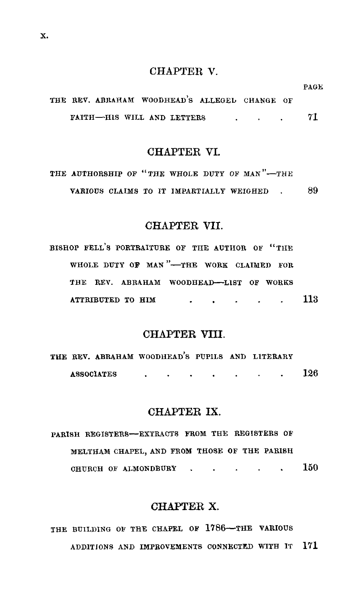#### CHAPTER V.

|  |                            |  | THE REV. ABRAHAM WOODHEAD'S ALLEGEL CHANGE OF |  |    |
|--|----------------------------|--|-----------------------------------------------|--|----|
|  | FAITH-HIS WILL AND LETTERS |  |                                               |  | 71 |

PAGE

#### CHAPTER VL

| THE AUTHORSHIP OF "THE WHOLE DUTY OF MAN"-THE |  |  |  |  |    |
|-----------------------------------------------|--|--|--|--|----|
| VARIOUS CLAIMS TO IT IMPARTIALLY WEIGHED      |  |  |  |  | 89 |

#### CHAPTER VII.

| BISHOP FELL'S PORTRAITURE OF THE AUTHOR OF "THE |  |  |  |                   |  |
|-------------------------------------------------|--|--|--|-------------------|--|
| WHOLE DUTY OF MAN "-THE WORK CLAIMED FOR        |  |  |  |                   |  |
| THE REV. ABRAHAM WOODHEAD-LIST OF WORKS         |  |  |  |                   |  |
| . 113                                           |  |  |  | ATTRIBUTED TO HIM |  |

#### CHAPTER VIII.

|                   | THE REV. ABRAHAM WOODHEAD'S PUPILS AND LITERARY |  |  |  |     |
|-------------------|-------------------------------------------------|--|--|--|-----|
| <b>ASSOCIATES</b> |                                                 |  |  |  | 126 |

#### CHAPTER IX.

PARISH REGISTERS-EXTRACTS FROM THE REGISTERS OF MELTHAM CHAPEL, AND FROM THOSE OF THE PARISH CHURCH OF ALMONDBURY  $\cdot$  . . . . . 150

### CHAPTER X.

THE BUILDING OF THE CHAPEL OF 1786-THE VARIOUS ADDITIONS AND IMPROVEMENTS CONNECTED WITH IT 171